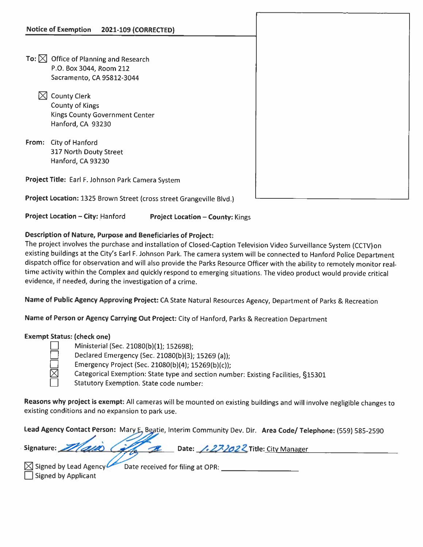- To:  $\boxtimes$  Office of Planning and Research P.O. Box 3044, Room 212 Sacramento, CA 95812-3044
	- $\boxtimes$  County Clerk County of Kings Kings County Government Center Hanford, CA 93230
- From: City of Hanford 317 North Douty Street Hanford, CA 93230

Project Title: Earl F. Johnson Park Camera System

Project Location: <sup>1325</sup> Brown Street (cross street Grangeville Blvd.)

Project Location — City: Hanford Project Location — County: Kings

## Description of Nature, Purpose and Beneficiaries of Project:

The project involves the purchase and installation of Closed-Caption Television Video Surveillance System (CCTV)on existing buildings at the City's Earl F. Johnson Park. The camera system will be connected to Hanford Police Department dispatch office for observation and will also provide the Parks Resource Officer with the ability to remotely monitor real time activity within the Complex and quickly respond to emerging situations. The video product would provide critical evidence) if needed, during the investigation of <sup>a</sup> crime.

Name of Public Agency Approving Project: CA State Natural Resources Agency, Department of Parks & Recreation

Name of Person or Agency Carrying Out Project: City of Hanford, Parks & Recreation Department

## Exempt Status: (check one)

El Ministerial (Sec. 21080(b)(1); 152698);

Declared Emergency (Sec. 21080(b)(3); 15269 (a));

Emergency Project (Sec. 21080(b)(4); 15269(b)(c));

Categorical Exemption: State type and section number: Existing Facilities, §15301

**LI** Statutory Exemption. State code number:

Reasons why project is exempt: All cameras will be mounted on existing buildings and will involve negligible changes to existing conditions and no expansion to park use.

Lead Agency Contact Person: Mary E, Beatie, Interim Community Dev. Dir. Area Code/ Telephone: (559) 585-2590

| Signature: 21 and Called B Date: 1.272022 Title: City Manager |  |
|---------------------------------------------------------------|--|
|                                                               |  |

| $\boxtimes$ Signed by Lead Agency | Date received for filing at OPR: |  |
|-----------------------------------|----------------------------------|--|
| Signed by Applicant               |                                  |  |